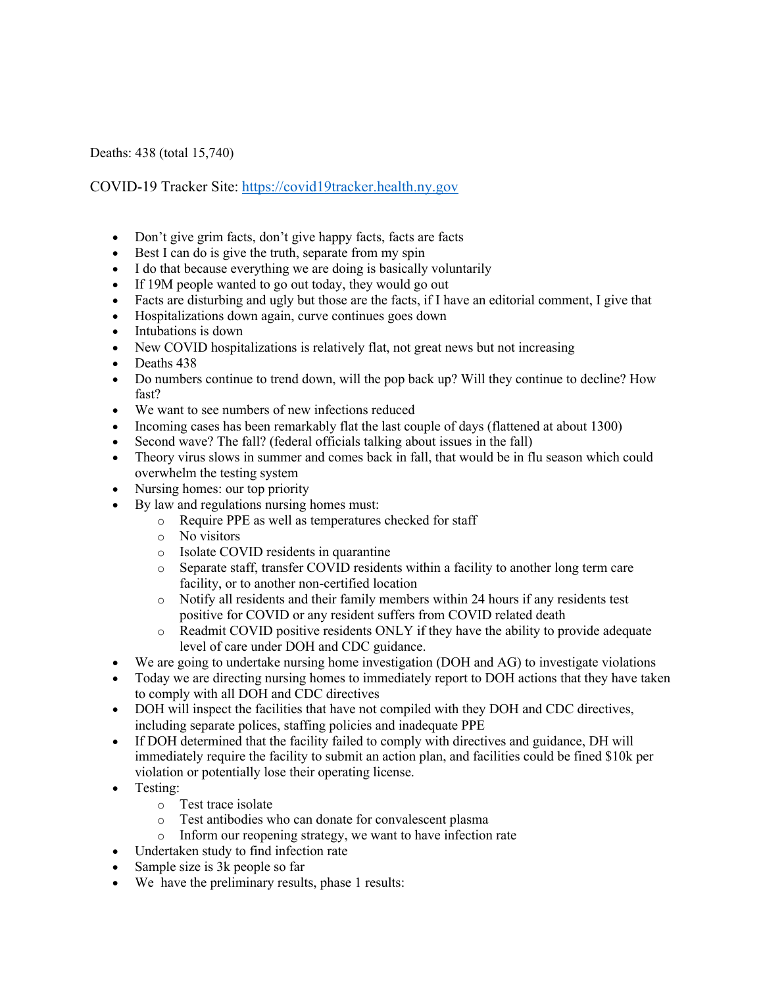Deaths: 438 (total 15,740)

COVID-19 Tracker Site: https://covid19tracker.health.ny.gov

- Don't give grim facts, don't give happy facts, facts are facts
- Best I can do is give the truth, separate from my spin
- I do that because everything we are doing is basically voluntarily
- If 19M people wanted to go out today, they would go out
- Facts are disturbing and ugly but those are the facts, if I have an editorial comment, I give that
- Hospitalizations down again, curve continues goes down
- Intubations is down
- New COVID hospitalizations is relatively flat, not great news but not increasing
- Deaths 438
- Do numbers continue to trend down, will the pop back up? Will they continue to decline? How fast?
- We want to see numbers of new infections reduced
- Incoming cases has been remarkably flat the last couple of days (flattened at about 1300)
- Second wave? The fall? (federal officials talking about issues in the fall)
- Theory virus slows in summer and comes back in fall, that would be in flu season which could overwhelm the testing system
- Nursing homes: our top priority
- By law and regulations nursing homes must:
	- o Require PPE as well as temperatures checked for staff
	- o No visitors
	- o Isolate COVID residents in quarantine
	- o Separate staff, transfer COVID residents within a facility to another long term care facility, or to another non-certified location
	- o Notify all residents and their family members within 24 hours if any residents test positive for COVID or any resident suffers from COVID related death
	- o Readmit COVID positive residents ONLY if they have the ability to provide adequate level of care under DOH and CDC guidance.
- We are going to undertake nursing home investigation (DOH and AG) to investigate violations
- Today we are directing nursing homes to immediately report to DOH actions that they have taken to comply with all DOH and CDC directives
- DOH will inspect the facilities that have not compiled with they DOH and CDC directives, including separate polices, staffing policies and inadequate PPE
- If DOH determined that the facility failed to comply with directives and guidance, DH will immediately require the facility to submit an action plan, and facilities could be fined \$10k per violation or potentially lose their operating license.
- Testing:
	- o Test trace isolate
	- o Test antibodies who can donate for convalescent plasma
	- o Inform our reopening strategy, we want to have infection rate
- Undertaken study to find infection rate
- Sample size is 3k people so far
- We have the preliminary results, phase 1 results: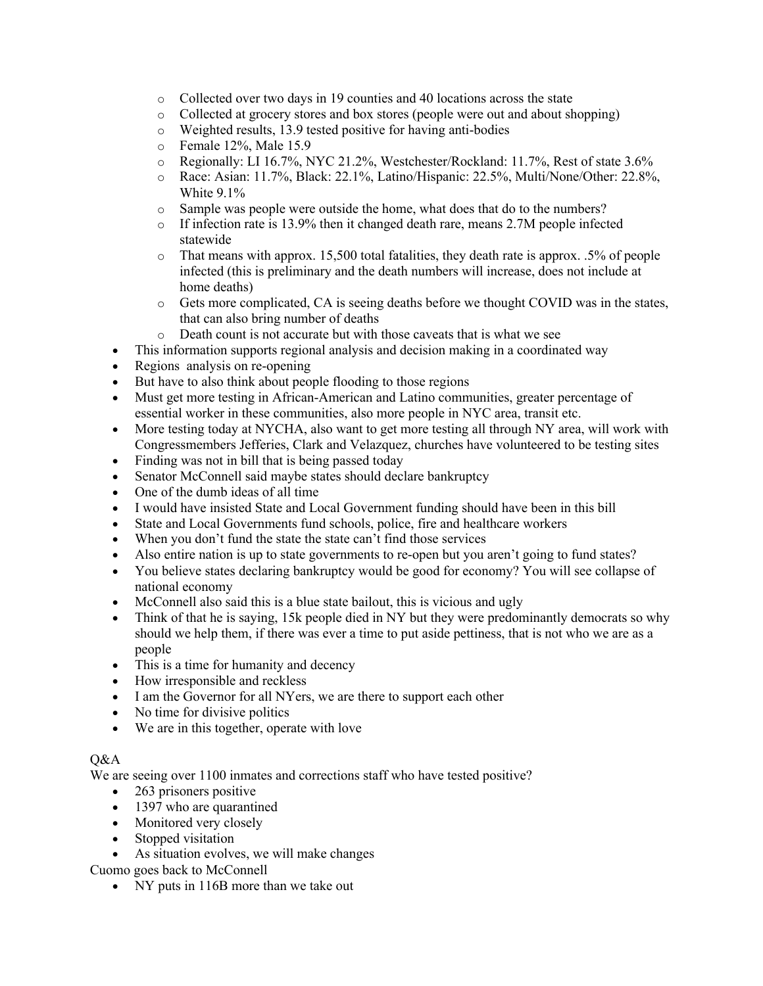- o Collected over two days in 19 counties and 40 locations across the state
- o Collected at grocery stores and box stores (people were out and about shopping)
- o Weighted results, 13.9 tested positive for having anti-bodies
- o Female 12%, Male 15.9
- o Regionally: LI 16.7%, NYC 21.2%, Westchester/Rockland: 11.7%, Rest of state 3.6%
- o Race: Asian: 11.7%, Black: 22.1%, Latino/Hispanic: 22.5%, Multi/None/Other: 22.8%, White 9.1%
- o Sample was people were outside the home, what does that do to the numbers?
- o If infection rate is 13.9% then it changed death rare, means 2.7M people infected statewide
- o That means with approx. 15,500 total fatalities, they death rate is approx. .5% of people infected (this is preliminary and the death numbers will increase, does not include at home deaths)
- o Gets more complicated, CA is seeing deaths before we thought COVID was in the states, that can also bring number of deaths
- o Death count is not accurate but with those caveats that is what we see
- This information supports regional analysis and decision making in a coordinated way
- Regions analysis on re-opening
- But have to also think about people flooding to those regions
- Must get more testing in African-American and Latino communities, greater percentage of essential worker in these communities, also more people in NYC area, transit etc.
- More testing today at NYCHA, also want to get more testing all through NY area, will work with Congressmembers Jefferies, Clark and Velazquez, churches have volunteered to be testing sites
- Finding was not in bill that is being passed today
- Senator McConnell said maybe states should declare bankruptcy
- One of the dumb ideas of all time
- I would have insisted State and Local Government funding should have been in this bill
- State and Local Governments fund schools, police, fire and healthcare workers
- When you don't fund the state the state can't find those services
- Also entire nation is up to state governments to re-open but you aren't going to fund states?
- You believe states declaring bankruptcy would be good for economy? You will see collapse of national economy
- McConnell also said this is a blue state bailout, this is vicious and ugly
- Think of that he is saying, 15k people died in NY but they were predominantly democrats so why should we help them, if there was ever a time to put aside pettiness, that is not who we are as a people
- This is a time for humanity and decency
- How irresponsible and reckless
- I am the Governor for all NYers, we are there to support each other
- No time for divisive politics
- We are in this together, operate with love

## $O&A$

We are seeing over 1100 inmates and corrections staff who have tested positive?

- 263 prisoners positive
- 1397 who are quarantined
- Monitored very closely
- Stopped visitation
- As situation evolves, we will make changes

Cuomo goes back to McConnell

• NY puts in 116B more than we take out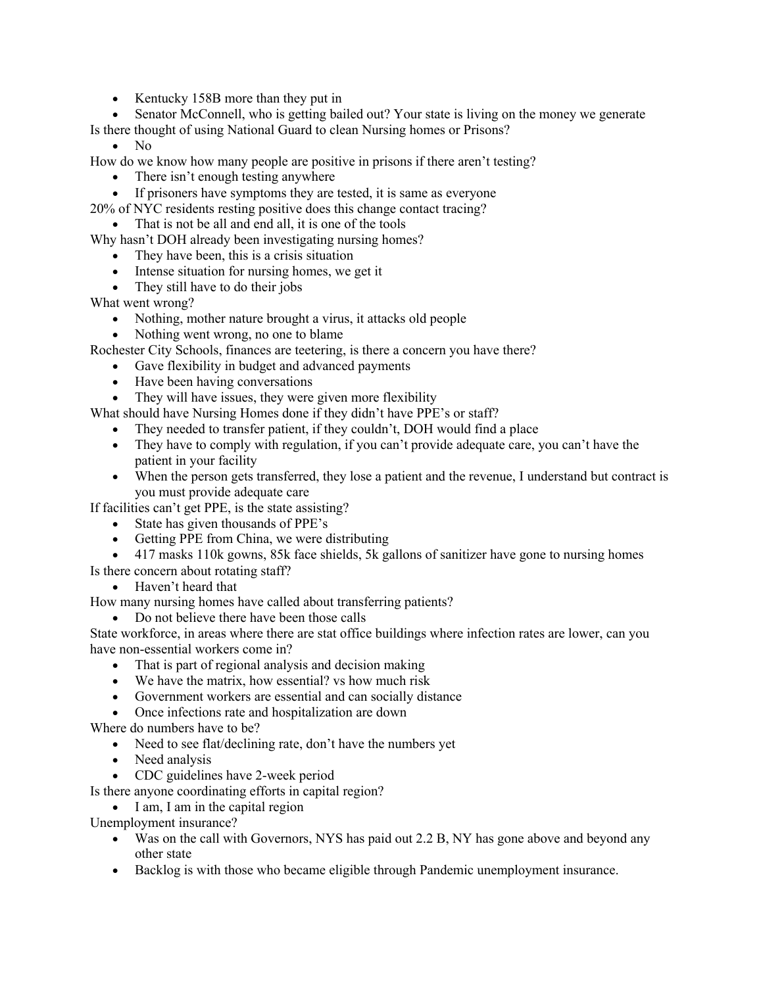- Kentucky 158B more than they put in
- Senator McConnell, who is getting bailed out? Your state is living on the money we generate

Is there thought of using National Guard to clean Nursing homes or Prisons?

• No

How do we know how many people are positive in prisons if there aren't testing?

- There isn't enough testing anywhere
- If prisoners have symptoms they are tested, it is same as everyone
- 20% of NYC residents resting positive does this change contact tracing?

• That is not be all and end all, it is one of the tools

- Why hasn't DOH already been investigating nursing homes?
	- They have been, this is a crisis situation
	- Intense situation for nursing homes, we get it
	- They still have to do their jobs

What went wrong?

- Nothing, mother nature brought a virus, it attacks old people
- Nothing went wrong, no one to blame

Rochester City Schools, finances are teetering, is there a concern you have there?

- Gave flexibility in budget and advanced payments
- Have been having conversations
- They will have issues, they were given more flexibility

What should have Nursing Homes done if they didn't have PPE's or staff?

- They needed to transfer patient, if they couldn't, DOH would find a place
- They have to comply with regulation, if you can't provide adequate care, you can't have the patient in your facility
- When the person gets transferred, they lose a patient and the revenue, I understand but contract is you must provide adequate care

If facilities can't get PPE, is the state assisting?

- State has given thousands of PPE's
- Getting PPE from China, we were distributing
- 417 masks 110k gowns, 85k face shields, 5k gallons of sanitizer have gone to nursing homes
- Is there concern about rotating staff?
	- Haven't heard that

How many nursing homes have called about transferring patients?

• Do not believe there have been those calls

State workforce, in areas where there are stat office buildings where infection rates are lower, can you have non-essential workers come in?

- That is part of regional analysis and decision making
- We have the matrix, how essential? vs how much risk
- Government workers are essential and can socially distance
- Once infections rate and hospitalization are down

Where do numbers have to be?

- Need to see flat/declining rate, don't have the numbers yet
- Need analysis
- CDC guidelines have 2-week period

Is there anyone coordinating efforts in capital region?

• I am, I am in the capital region

Unemployment insurance?

- Was on the call with Governors, NYS has paid out 2.2 B, NY has gone above and beyond any other state
- Backlog is with those who became eligible through Pandemic unemployment insurance.